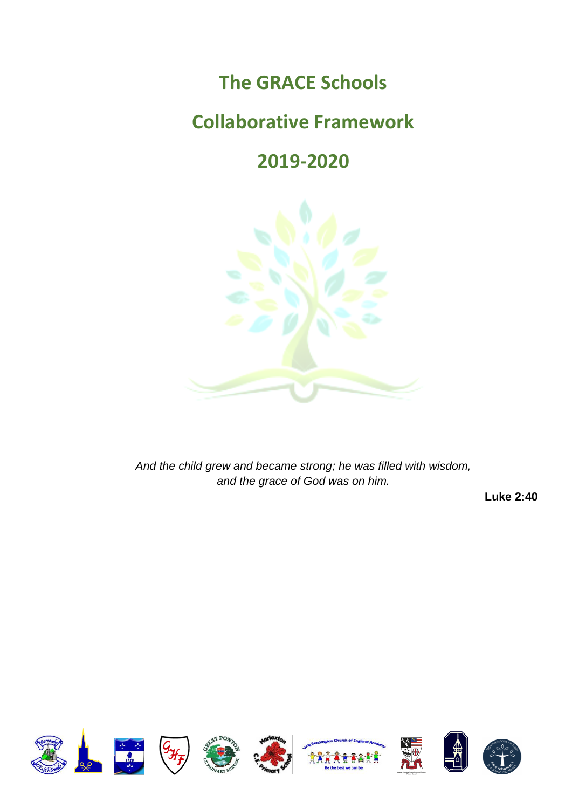# **The GRACE Schools**

# **Collaborative Framework**

# **2019-2020**



*And the child grew and became strong; he was filled with wisdom, and the grace of God was on him.*

**Luke 2:40**

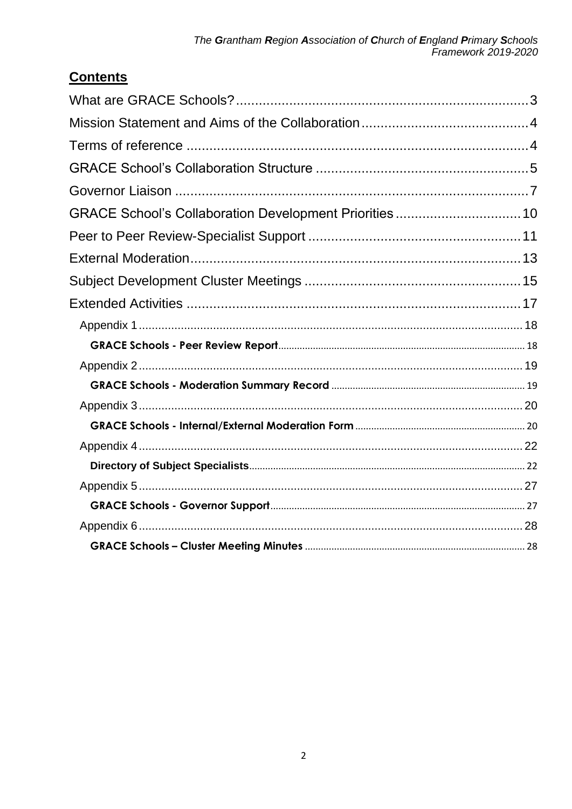# **Contents**

| GRACE School's Collaboration Development Priorities 10 |  |
|--------------------------------------------------------|--|
|                                                        |  |
|                                                        |  |
|                                                        |  |
|                                                        |  |
|                                                        |  |
|                                                        |  |
|                                                        |  |
|                                                        |  |
|                                                        |  |
|                                                        |  |
|                                                        |  |
|                                                        |  |
|                                                        |  |
|                                                        |  |
|                                                        |  |
|                                                        |  |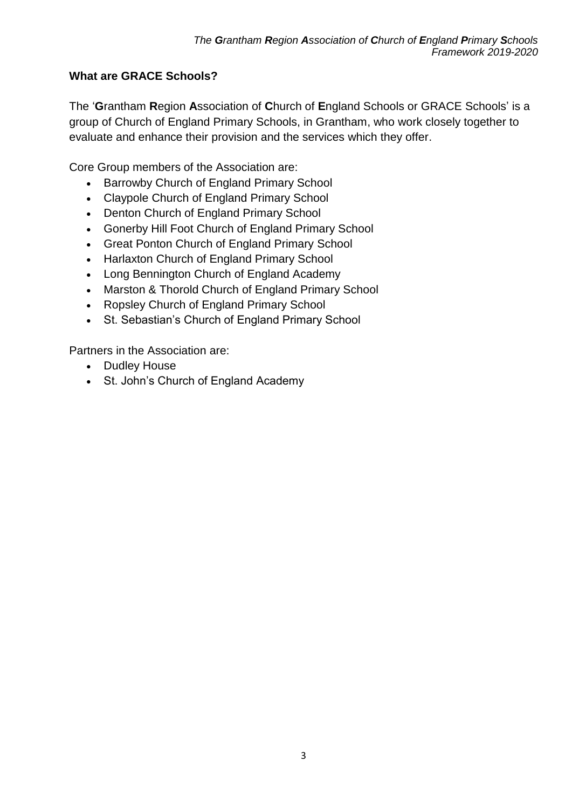## <span id="page-2-0"></span>**What are GRACE Schools?**

The '**G**rantham **R**egion **A**ssociation of **C**hurch of **E**ngland Schools or GRACE Schools' is a group of Church of England Primary Schools, in Grantham, who work closely together to evaluate and enhance their provision and the services which they offer.

Core Group members of the Association are:

- Barrowby Church of England Primary School
- Claypole Church of England Primary School
- Denton Church of England Primary School
- Gonerby Hill Foot Church of England Primary School
- Great Ponton Church of England Primary School
- Harlaxton Church of England Primary School
- Long Bennington Church of England Academy
- Marston & Thorold Church of England Primary School
- Ropsley Church of England Primary School
- St. Sebastian's Church of England Primary School

Partners in the Association are:

- Dudley House
- St. John's Church of England Academy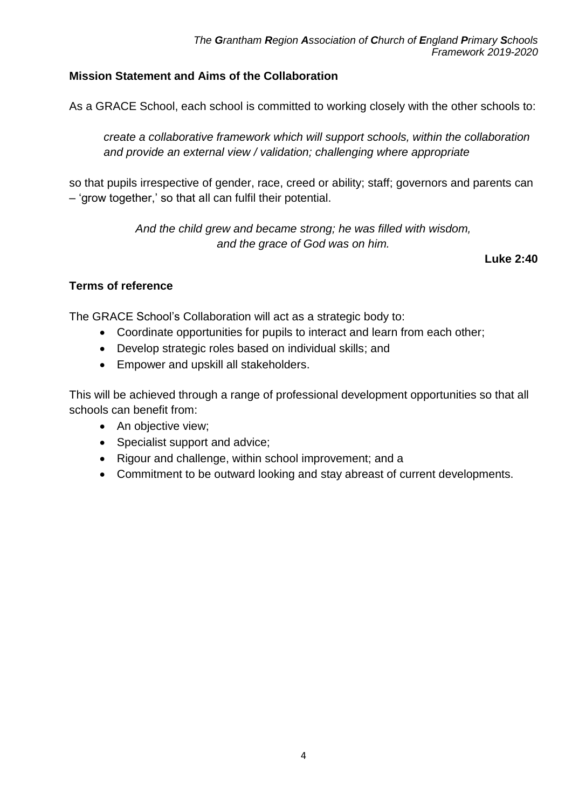## <span id="page-3-0"></span>**Mission Statement and Aims of the Collaboration**

As a GRACE School, each school is committed to working closely with the other schools to:

*create a collaborative framework which will support schools, within the collaboration and provide an external view / validation; challenging where appropriate*

so that pupils irrespective of gender, race, creed or ability; staff; governors and parents can – 'grow together,' so that all can fulfil their potential.

> *And the child grew and became strong; he was filled with wisdom, and the grace of God was on him.*

> > **Luke 2:40**

#### <span id="page-3-1"></span>**Terms of reference**

The GRACE School's Collaboration will act as a strategic body to:

- Coordinate opportunities for pupils to interact and learn from each other;
- Develop strategic roles based on individual skills; and
- Empower and upskill all stakeholders.

This will be achieved through a range of professional development opportunities so that all schools can benefit from:

- An objective view;
- Specialist support and advice;
- Rigour and challenge, within school improvement; and a
- Commitment to be outward looking and stay abreast of current developments.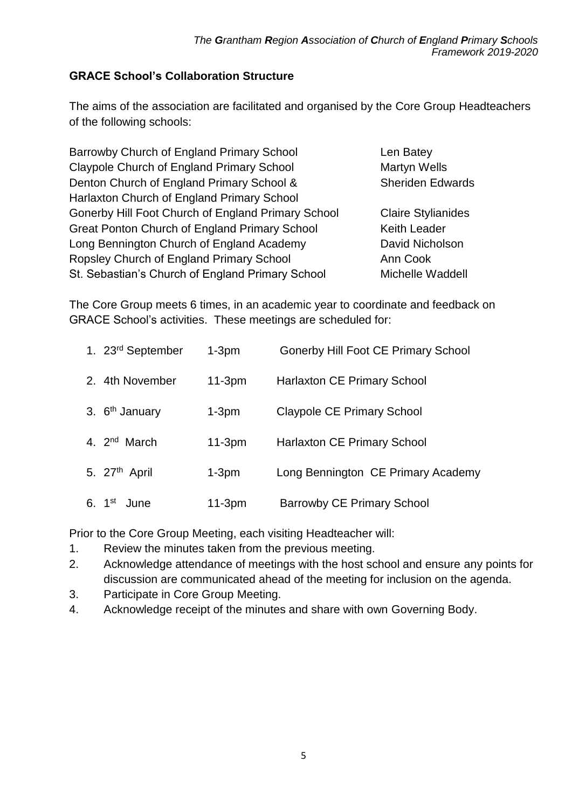### <span id="page-4-0"></span>**GRACE School's Collaboration Structure**

The aims of the association are facilitated and organised by the Core Group Headteachers of the following schools:

Barrowby Church of England Primary School Len Batey Claypole Church of England Primary School Martyn Wells Denton Church of England Primary School & Sheriden Edwards Harlaxton Church of England Primary School Gonerby Hill Foot Church of England Primary School Claire Stylianides Great Ponton Church of England Primary School Keith Leader Long Bennington Church of England Academy David Nicholson Ropsley Church of England Primary School Ann Cook St. Sebastian's Church of England Primary School Michelle Waddell

The Core Group meets 6 times, in an academic year to coordinate and feedback on GRACE School's activities. These meetings are scheduled for:

| 1. 23rd September         | $1-3pm$  | <b>Gonerby Hill Foot CE Primary School</b> |
|---------------------------|----------|--------------------------------------------|
| 2. 4th November           | $11-3pm$ | <b>Harlaxton CE Primary School</b>         |
| 3. $6th$ January          | $1-3pm$  | <b>Claypole CE Primary School</b>          |
| 4. 2 <sup>nd</sup> March  | $11-3pm$ | <b>Harlaxton CE Primary School</b>         |
| 5. 27 <sup>th</sup> April | $1-3pm$  | Long Bennington CE Primary Academy         |
| 6. $1^{st}$<br>June       | $11-3pm$ | <b>Barrowby CE Primary School</b>          |

Prior to the Core Group Meeting, each visiting Headteacher will:

- 1. Review the minutes taken from the previous meeting.
- 2. Acknowledge attendance of meetings with the host school and ensure any points for discussion are communicated ahead of the meeting for inclusion on the agenda.
- 3. Participate in Core Group Meeting.
- 4. Acknowledge receipt of the minutes and share with own Governing Body.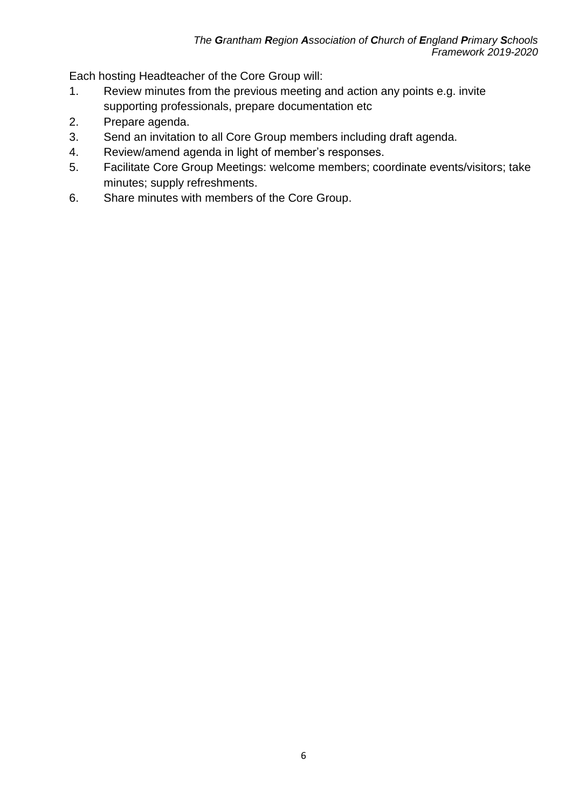Each hosting Headteacher of the Core Group will:

- 1. Review minutes from the previous meeting and action any points e.g. invite supporting professionals, prepare documentation etc
- 2. Prepare agenda.
- 3. Send an invitation to all Core Group members including draft agenda.
- 4. Review/amend agenda in light of member's responses.
- 5. Facilitate Core Group Meetings: welcome members; coordinate events/visitors; take minutes; supply refreshments.
- 6. Share minutes with members of the Core Group.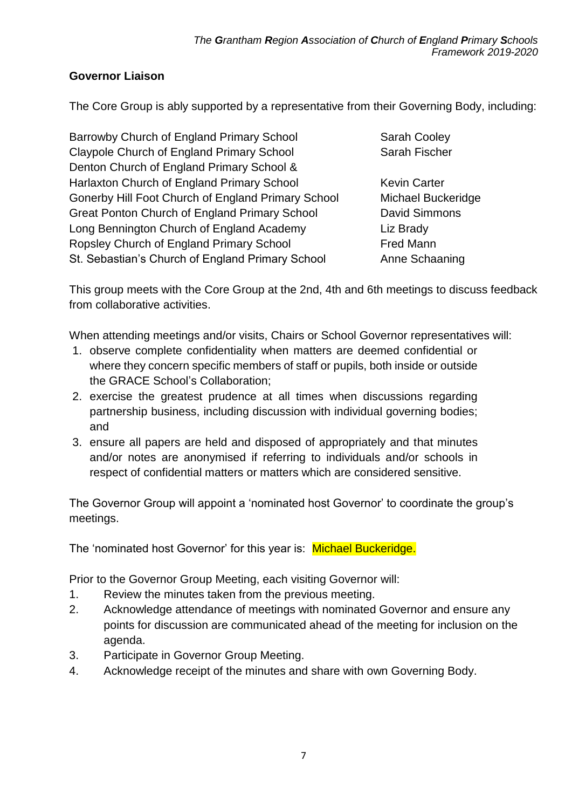## <span id="page-6-0"></span>**Governor Liaison**

The Core Group is ably supported by a representative from their Governing Body, including:

Barrowby Church of England Primary School Sarah Cooley Claypole Church of England Primary School Sarah Fischer Denton Church of England Primary School & Harlaxton Church of England Primary School Kevin Carter Gonerby Hill Foot Church of England Primary School Michael Buckeridge Great Ponton Church of England Primary School David Simmons Long Bennington Church of England Academy Liz Brady Ropsley Church of England Primary School Fred Mann St. Sebastian's Church of England Primary School Anne Schaaning

This group meets with the Core Group at the 2nd, 4th and 6th meetings to discuss feedback from collaborative activities.

When attending meetings and/or visits, Chairs or School Governor representatives will:

- 1. observe complete confidentiality when matters are deemed confidential or where they concern specific members of staff or pupils, both inside or outside the GRACE School's Collaboration;
- 2. exercise the greatest prudence at all times when discussions regarding partnership business, including discussion with individual governing bodies; and
- 3. ensure all papers are held and disposed of appropriately and that minutes and/or notes are anonymised if referring to individuals and/or schools in respect of confidential matters or matters which are considered sensitive.

The Governor Group will appoint a 'nominated host Governor' to coordinate the group's meetings.

The 'nominated host Governor' for this year is: Michael Buckeridge.

Prior to the Governor Group Meeting, each visiting Governor will:

- 1. Review the minutes taken from the previous meeting.
- 2. Acknowledge attendance of meetings with nominated Governor and ensure any points for discussion are communicated ahead of the meeting for inclusion on the agenda.
- 3. Participate in Governor Group Meeting.
- 4. Acknowledge receipt of the minutes and share with own Governing Body.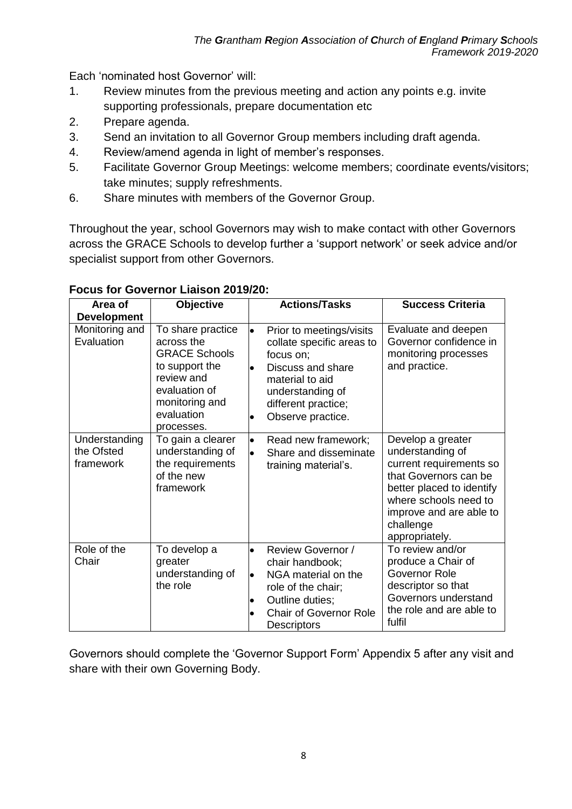Each 'nominated host Governor' will:

- 1. Review minutes from the previous meeting and action any points e.g. invite supporting professionals, prepare documentation etc
- 2. Prepare agenda.
- 3. Send an invitation to all Governor Group members including draft agenda.
- 4. Review/amend agenda in light of member's responses.
- 5. Facilitate Governor Group Meetings: welcome members; coordinate events/visitors; take minutes; supply refreshments.
- 6. Share minutes with members of the Governor Group.

Throughout the year, school Governors may wish to make contact with other Governors across the GRACE Schools to develop further a 'support network' or seek advice and/or specialist support from other Governors.

| Area of<br><b>Development</b>            | <b>Objective</b>                                                                                                                                       | <b>Actions/Tasks</b>                                                                                                                                                                                 | <b>Success Criteria</b>                                                                                                                                                                                   |
|------------------------------------------|--------------------------------------------------------------------------------------------------------------------------------------------------------|------------------------------------------------------------------------------------------------------------------------------------------------------------------------------------------------------|-----------------------------------------------------------------------------------------------------------------------------------------------------------------------------------------------------------|
| Monitoring and<br>Evaluation             | To share practice<br>across the<br><b>GRACE Schools</b><br>to support the<br>review and<br>evaluation of<br>monitoring and<br>evaluation<br>processes. | Prior to meetings/visits<br>$\bullet$<br>collate specific areas to<br>focus on;<br>Discuss and share<br>$\bullet$<br>material to aid<br>understanding of<br>different practice;<br>Observe practice. | Evaluate and deepen<br>Governor confidence in<br>monitoring processes<br>and practice.                                                                                                                    |
| Understanding<br>the Ofsted<br>framework | To gain a clearer<br>understanding of<br>the requirements<br>of the new<br>framework                                                                   | Read new framework;<br>$\bullet$<br>Share and disseminate<br>$\bullet$<br>training material's.                                                                                                       | Develop a greater<br>understanding of<br>current requirements so<br>that Governors can be<br>better placed to identify<br>where schools need to<br>improve and are able to<br>challenge<br>appropriately. |
| Role of the<br>Chair                     | To develop a<br>greater<br>understanding of<br>the role                                                                                                | Review Governor /<br>$\bullet$<br>chair handbook;<br>NGA material on the<br>$\bullet$<br>role of the chair;<br>Outline duties;<br><b>Chair of Governor Role</b><br>Descriptors                       | To review and/or<br>produce a Chair of<br>Governor Role<br>descriptor so that<br>Governors understand<br>the role and are able to<br>fulfil                                                               |

#### **Focus for Governor Liaison 2019/20:**

Governors should complete the 'Governor Support Form' Appendix 5 after any visit and share with their own Governing Body.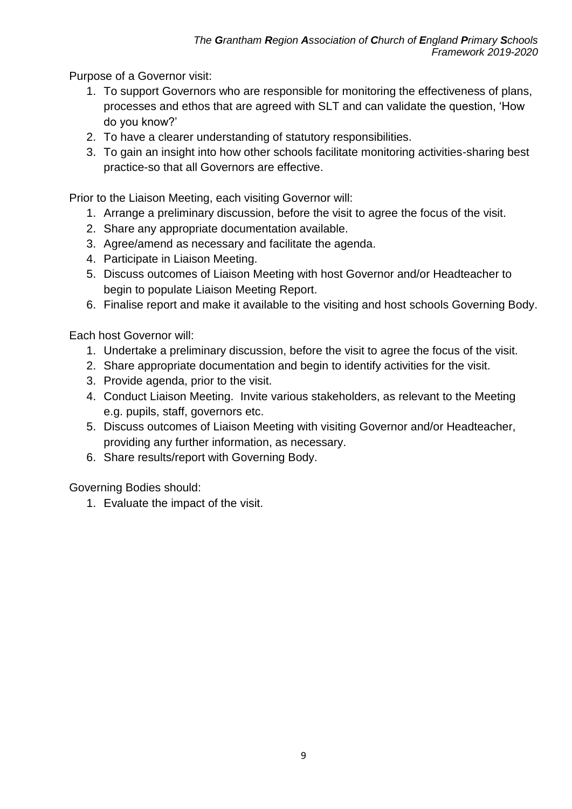Purpose of a Governor visit:

- 1. To support Governors who are responsible for monitoring the effectiveness of plans, processes and ethos that are agreed with SLT and can validate the question, 'How do you know?'
- 2. To have a clearer understanding of statutory responsibilities.
- 3. To gain an insight into how other schools facilitate monitoring activities-sharing best practice-so that all Governors are effective.

Prior to the Liaison Meeting, each visiting Governor will:

- 1. Arrange a preliminary discussion, before the visit to agree the focus of the visit.
- 2. Share any appropriate documentation available.
- 3. Agree/amend as necessary and facilitate the agenda.
- 4. Participate in Liaison Meeting.
- 5. Discuss outcomes of Liaison Meeting with host Governor and/or Headteacher to begin to populate Liaison Meeting Report.
- 6. Finalise report and make it available to the visiting and host schools Governing Body.

Each host Governor will:

- 1. Undertake a preliminary discussion, before the visit to agree the focus of the visit.
- 2. Share appropriate documentation and begin to identify activities for the visit.
- 3. Provide agenda, prior to the visit.
- 4. Conduct Liaison Meeting. Invite various stakeholders, as relevant to the Meeting e.g. pupils, staff, governors etc.
- 5. Discuss outcomes of Liaison Meeting with visiting Governor and/or Headteacher, providing any further information, as necessary.
- 6. Share results/report with Governing Body.

Governing Bodies should:

1. Evaluate the impact of the visit.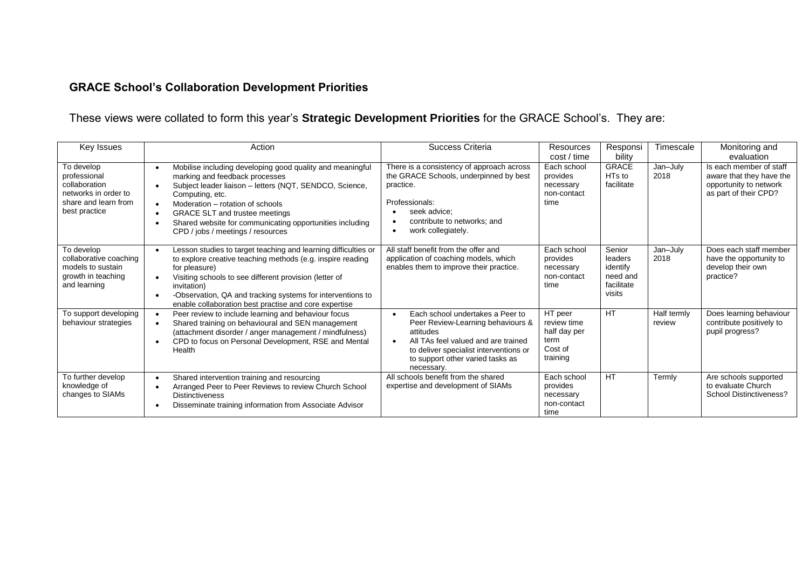# **GRACE School's Collaboration Development Priorities**

# These views were collated to form this year's **Strategic Development Priorities** for the GRACE School's. They are:

<span id="page-9-0"></span>

| Key Issues                                                                                                   | Action                                                                                                                                                                                                                                                                                                                                                                                                                   | Success Criteria                                                                                                                                                                                                                                | Resources<br>cost / time                                              | Responsi<br>bility                                                | Timescale             | Monitoring and<br>evaluation                                                                           |
|--------------------------------------------------------------------------------------------------------------|--------------------------------------------------------------------------------------------------------------------------------------------------------------------------------------------------------------------------------------------------------------------------------------------------------------------------------------------------------------------------------------------------------------------------|-------------------------------------------------------------------------------------------------------------------------------------------------------------------------------------------------------------------------------------------------|-----------------------------------------------------------------------|-------------------------------------------------------------------|-----------------------|--------------------------------------------------------------------------------------------------------|
| To develop<br>professional<br>collaboration<br>networks in order to<br>share and learn from<br>best practice | Mobilise including developing good quality and meaningful<br>$\bullet$<br>marking and feedback processes<br>Subject leader liaison - letters (NQT, SENDCO, Science,<br>$\bullet$<br>Computing, etc.<br>Moderation – rotation of schools<br>$\bullet$<br><b>GRACE SLT and trustee meetings</b><br>$\bullet$<br>Shared website for communicating opportunities including<br>$\bullet$<br>CPD / jobs / meetings / resources | There is a consistency of approach across<br>the GRACE Schools, underpinned by best<br>practice.<br>Professionals:<br>seek advice:<br>contribute to networks: and<br>work collegiately.<br>$\bullet$                                            | Each school<br>provides<br>necessary<br>non-contact<br>time           | <b>GRACE</b><br>HT <sub>s</sub> to<br>facilitate                  | Jan-July<br>2018      | Is each member of staff<br>aware that they have the<br>opportunity to network<br>as part of their CPD? |
| To develop<br>collaborative coaching<br>models to sustain<br>growth in teaching<br>and learning              | Lesson studies to target teaching and learning difficulties or<br>$\bullet$<br>to explore creative teaching methods (e.g. inspire reading<br>for pleasure)<br>Visiting schools to see different provision (letter of<br>$\bullet$<br>invitation)<br>-Observation, QA and tracking systems for interventions to<br>enable collaboration best practise and core expertise                                                  | All staff benefit from the offer and<br>application of coaching models, which<br>enables them to improve their practice.                                                                                                                        | Each school<br>provides<br>necessary<br>non-contact<br>time           | Senior<br>leaders<br>identify<br>need and<br>facilitate<br>visits | Jan-July<br>2018      | Does each staff member<br>have the opportunity to<br>develop their own<br>practice?                    |
| To support developing<br>behaviour strategies                                                                | Peer review to include learning and behaviour focus<br>$\bullet$<br>Shared training on behavioural and SEN management<br>$\bullet$<br>(attachment disorder / anger management / mindfulness)<br>CPD to focus on Personal Development, RSE and Mental<br>$\bullet$<br>Health                                                                                                                                              | Each school undertakes a Peer to<br>$\bullet$<br>Peer Review-Learning behaviours &<br>attitudes<br>All TAs feel valued and are trained<br>$\bullet$<br>to deliver specialist interventions or<br>to support other varied tasks as<br>necessary. | HT peer<br>review time<br>half day per<br>term<br>Cost of<br>training | <b>HT</b>                                                         | Half termly<br>review | Does learning behaviour<br>contribute positively to<br>pupil progress?                                 |
| To further develop<br>knowledge of<br>changes to SIAMs                                                       | Shared intervention training and resourcing<br>$\bullet$<br>Arranged Peer to Peer Reviews to review Church School<br>$\bullet$<br><b>Distinctiveness</b><br>Disseminate training information from Associate Advisor                                                                                                                                                                                                      | All schools benefit from the shared<br>expertise and development of SIAMs                                                                                                                                                                       | Each school<br>provides<br>necessary<br>non-contact<br>time           | <b>HT</b>                                                         | Termly                | Are schools supported<br>to evaluate Church<br>School Distinctiveness?                                 |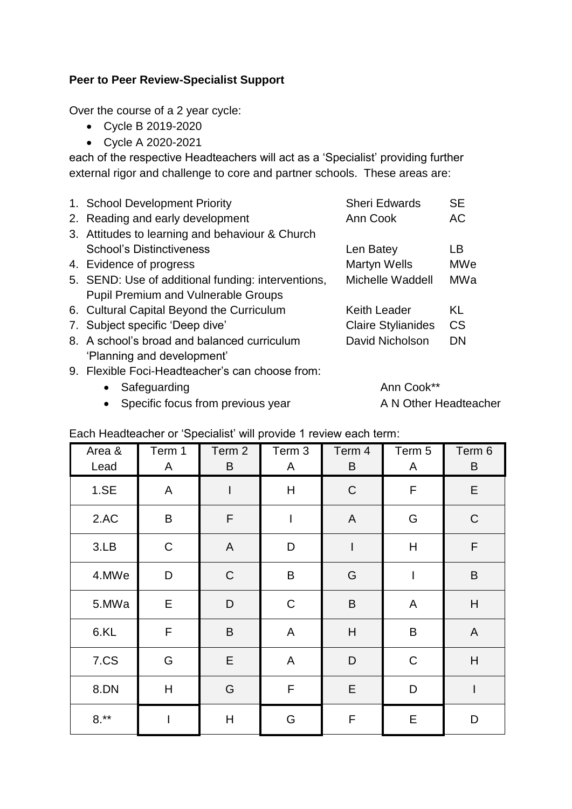#### <span id="page-10-0"></span>**Peer to Peer Review-Specialist Support**

Over the course of a 2 year cycle:

- Cycle B 2019-2020
- Cycle A 2020-2021

each of the respective Headteachers will act as a 'Specialist' providing further external rigor and challenge to core and partner schools. These areas are:

| 1. School Development Priority                     | <b>Sheri Edwards</b>      | <b>SE</b>  |
|----------------------------------------------------|---------------------------|------------|
| 2. Reading and early development                   | Ann Cook                  | AC.        |
| 3. Attitudes to learning and behaviour & Church    |                           |            |
| <b>School's Distinctiveness</b>                    | Len Batey                 | LВ         |
| 4. Evidence of progress                            | Martyn Wells              | <b>MWe</b> |
| 5. SEND: Use of additional funding: interventions, | Michelle Waddell          | MWa        |
| <b>Pupil Premium and Vulnerable Groups</b>         |                           |            |
| 6. Cultural Capital Beyond the Curriculum          | Keith Leader              | KL         |
| 7. Subject specific 'Deep dive'                    | <b>Claire Stylianides</b> | CS         |
| 8. A school's broad and balanced curriculum        | David Nicholson           | DN         |
| 'Planning and development'                         |                           |            |
| 9. Flexible Foci-Headteacher's can choose from:    |                           |            |
|                                                    |                           |            |

- Safeguarding **Ann Cook**\*\*
- Specific focus from previous year A N Other Headteacher

| Area &<br>Lead | Term 1<br>A | Term 2<br>B  | Term 3<br>A  | Term 4<br>B                                                                                                                                                                                                                                                                                                                                                                                                    | Term 5<br>A    | Term 6<br>B               |
|----------------|-------------|--------------|--------------|----------------------------------------------------------------------------------------------------------------------------------------------------------------------------------------------------------------------------------------------------------------------------------------------------------------------------------------------------------------------------------------------------------------|----------------|---------------------------|
| 1.SE           | A           | I            | H            | $\mathsf C$                                                                                                                                                                                                                                                                                                                                                                                                    | $\mathsf{F}$   | E                         |
| 2.AC           | $\sf B$     | $\mathsf F$  | $\mathsf I$  | $\mathsf{A}$                                                                                                                                                                                                                                                                                                                                                                                                   | G              | $\mathsf C$               |
| 3.LB           | $\mathsf C$ | $\mathsf{A}$ | D            | $\begin{array}{c} \rule{0pt}{2ex} \rule{0pt}{2ex} \rule{0pt}{2ex} \rule{0pt}{2ex} \rule{0pt}{2ex} \rule{0pt}{2ex} \rule{0pt}{2ex} \rule{0pt}{2ex} \rule{0pt}{2ex} \rule{0pt}{2ex} \rule{0pt}{2ex} \rule{0pt}{2ex} \rule{0pt}{2ex} \rule{0pt}{2ex} \rule{0pt}{2ex} \rule{0pt}{2ex} \rule{0pt}{2ex} \rule{0pt}{2ex} \rule{0pt}{2ex} \rule{0pt}{2ex} \rule{0pt}{2ex} \rule{0pt}{2ex} \rule{0pt}{2ex} \rule{0pt}{$ | H              | $\mathsf F$               |
| 4.MWe          | D           | $\mathsf C$  | B            | G                                                                                                                                                                                                                                                                                                                                                                                                              | $\overline{1}$ | $\sf B$                   |
| 5.MWa          | E           | $\mathsf D$  | $\mathsf C$  | $\sf B$                                                                                                                                                                                                                                                                                                                                                                                                        | A              | H                         |
| 6.KL           | F           | B            | A            | H                                                                                                                                                                                                                                                                                                                                                                                                              | $\mathsf B$    | A                         |
| 7.CS           | G           | E            | A            | $\mathsf D$                                                                                                                                                                                                                                                                                                                                                                                                    | $\mathsf C$    | $\boldsymbol{\mathsf{H}}$ |
| 8.DN           | H           | G            | $\mathsf{F}$ | E                                                                                                                                                                                                                                                                                                                                                                                                              | D              | $\mathsf{I}$              |
| $8.**$         |             | H            | G            | $\mathsf F$                                                                                                                                                                                                                                                                                                                                                                                                    | E              | D                         |

Each Headteacher or 'Specialist' will provide 1 review each term: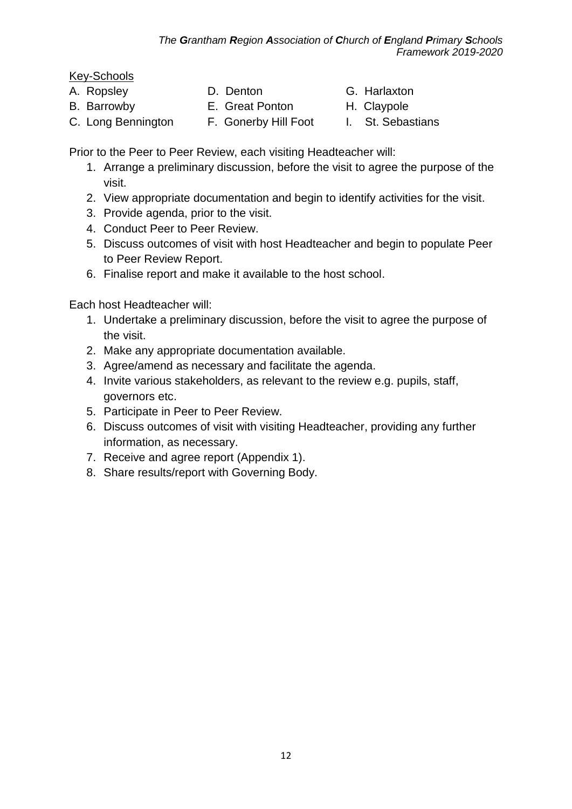# Key-Schools

- 
- 
- 
- A. Ropsley **D. Denton** G. Harlaxton
- B. Barrowby **E.** Great Ponton **H. Claypole**
- 
- C. Long Bennington F. Gonerby Hill Foot I. St. Sebastians

Prior to the Peer to Peer Review, each visiting Headteacher will:

- 1. Arrange a preliminary discussion, before the visit to agree the purpose of the visit.
- 2. View appropriate documentation and begin to identify activities for the visit.
- 3. Provide agenda, prior to the visit.
- 4. Conduct Peer to Peer Review.
- 5. Discuss outcomes of visit with host Headteacher and begin to populate Peer to Peer Review Report.
- 6. Finalise report and make it available to the host school.

Each host Headteacher will:

- 1. Undertake a preliminary discussion, before the visit to agree the purpose of the visit.
- 2. Make any appropriate documentation available.
- 3. Agree/amend as necessary and facilitate the agenda.
- 4. Invite various stakeholders, as relevant to the review e.g. pupils, staff, governors etc.
- 5. Participate in Peer to Peer Review.
- 6. Discuss outcomes of visit with visiting Headteacher, providing any further information, as necessary.
- 7. Receive and agree report (Appendix 1).
- 8. Share results/report with Governing Body.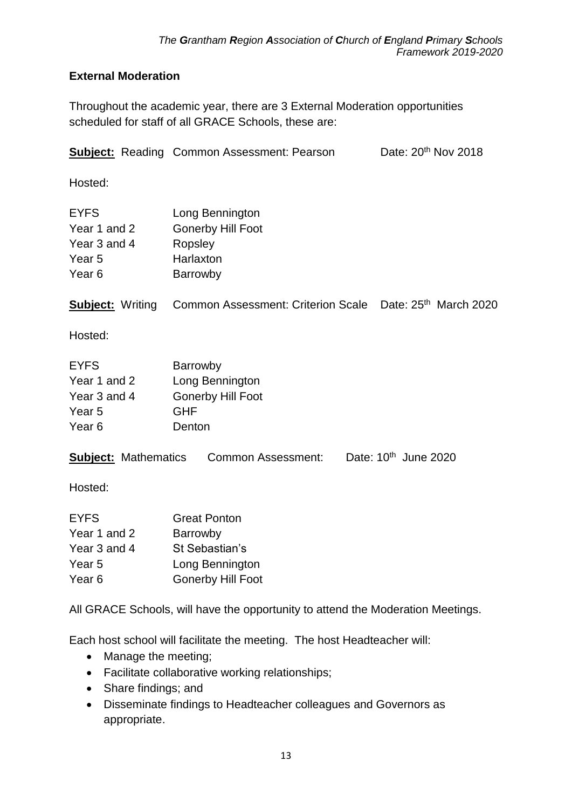# <span id="page-12-0"></span>**External Moderation**

Throughout the academic year, there are 3 External Moderation opportunities scheduled for staff of all GRACE Schools, these are:

|                                                                                       | <b>Subject:</b> Reading Common Assessment: Pearson                                               | Date: 20 <sup>th</sup> Nov 2018  |  |
|---------------------------------------------------------------------------------------|--------------------------------------------------------------------------------------------------|----------------------------------|--|
| Hosted:                                                                               |                                                                                                  |                                  |  |
| <b>EYFS</b><br>Year 1 and 2<br>Year 3 and 4<br>Year <sub>5</sub><br>Year <sub>6</sub> | Long Bennington<br><b>Gonerby Hill Foot</b><br>Ropsley<br>Harlaxton<br>Barrowby                  |                                  |  |
| <b>Subject: Writing</b>                                                               | Common Assessment: Criterion Scale Date: 25 <sup>th</sup> March 2020                             |                                  |  |
| Hosted:                                                                               |                                                                                                  |                                  |  |
| <b>EYFS</b><br>Year 1 and 2<br>Year 3 and 4<br>Year <sub>5</sub><br>Year <sub>6</sub> | Barrowby<br>Long Bennington<br><b>Gonerby Hill Foot</b><br><b>GHF</b><br>Denton                  |                                  |  |
| <b>Subject: Mathematics</b>                                                           | <b>Common Assessment:</b>                                                                        | Date: 10 <sup>th</sup> June 2020 |  |
| Hosted:                                                                               |                                                                                                  |                                  |  |
| <b>EYFS</b><br>Year 1 and 2<br>Year 3 and 4<br>Year <sub>5</sub><br>Year <sub>6</sub> | <b>Great Ponton</b><br>Barrowby<br>St Sebastian's<br>Long Bennington<br><b>Gonerby Hill Foot</b> |                                  |  |
| All GRACE Schools, will have the opportunity to attend the Moderation Meetings.       |                                                                                                  |                                  |  |
|                                                                                       | Each host school will facilitate the meeting. The host Headteacher will:                         |                                  |  |

- Manage the meeting;
- Facilitate collaborative working relationships;
- Share findings; and
- Disseminate findings to Headteacher colleagues and Governors as appropriate.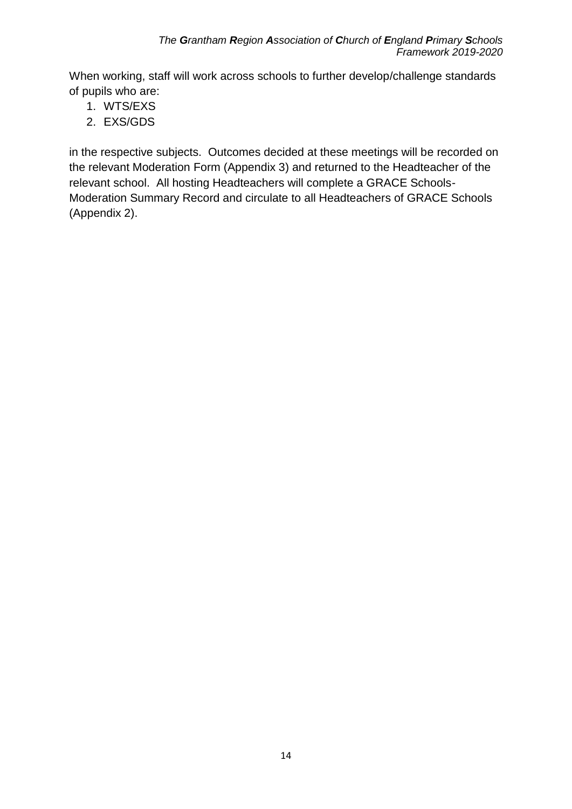When working, staff will work across schools to further develop/challenge standards of pupils who are:

- 1. WTS/EXS
- 2. EXS/GDS

in the respective subjects. Outcomes decided at these meetings will be recorded on the relevant Moderation Form (Appendix 3) and returned to the Headteacher of the relevant school. All hosting Headteachers will complete a GRACE Schools-Moderation Summary Record and circulate to all Headteachers of GRACE Schools (Appendix 2).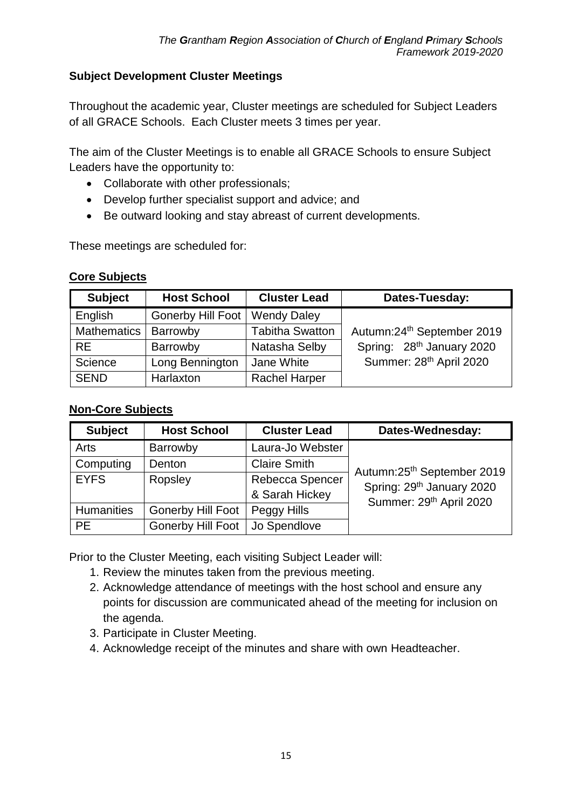#### <span id="page-14-0"></span>**Subject Development Cluster Meetings**

Throughout the academic year, Cluster meetings are scheduled for Subject Leaders of all GRACE Schools. Each Cluster meets 3 times per year.

The aim of the Cluster Meetings is to enable all GRACE Schools to ensure Subject Leaders have the opportunity to:

- Collaborate with other professionals;
- Develop further specialist support and advice; and
- Be outward looking and stay abreast of current developments.

These meetings are scheduled for:

#### **Core Subjects**

| <b>Subject</b>     | <b>Host School</b> | <b>Cluster Lead</b>    | Dates-Tuesday:                        |
|--------------------|--------------------|------------------------|---------------------------------------|
| English            | Gonerby Hill Foot  | <b>Wendy Daley</b>     |                                       |
| <b>Mathematics</b> | Barrowby           | <b>Tabitha Swatton</b> | Autumn: 24th September 2019           |
| <b>RE</b>          | Barrowby           | Natasha Selby          | Spring: 28 <sup>th</sup> January 2020 |
| Science            | Long Bennington    | Jane White             | Summer: 28th April 2020               |
| <b>SEND</b>        | Harlaxton          | <b>Rachel Harper</b>   |                                       |

#### **Non-Core Subjects**

| <b>Subject</b>    | <b>Host School</b>       | <b>Cluster Lead</b> | Dates-Wednesday:                       |
|-------------------|--------------------------|---------------------|----------------------------------------|
| Arts              | Barrowby                 | Laura-Jo Webster    |                                        |
| Computing         | Denton                   | <b>Claire Smith</b> | Autumn:25 <sup>th</sup> September 2019 |
| <b>EYFS</b>       | Ropsley                  | Rebecca Spencer     | Spring: 29 <sup>th</sup> January 2020  |
|                   |                          | & Sarah Hickey      | Summer: 29th April 2020                |
| <b>Humanities</b> | <b>Gonerby Hill Foot</b> | Peggy Hills         |                                        |
| <b>PE</b>         | <b>Gonerby Hill Foot</b> | Jo Spendlove        |                                        |

Prior to the Cluster Meeting, each visiting Subject Leader will:

- 1. Review the minutes taken from the previous meeting.
- 2. Acknowledge attendance of meetings with the host school and ensure any points for discussion are communicated ahead of the meeting for inclusion on the agenda.
- 3. Participate in Cluster Meeting.
- 4. Acknowledge receipt of the minutes and share with own Headteacher.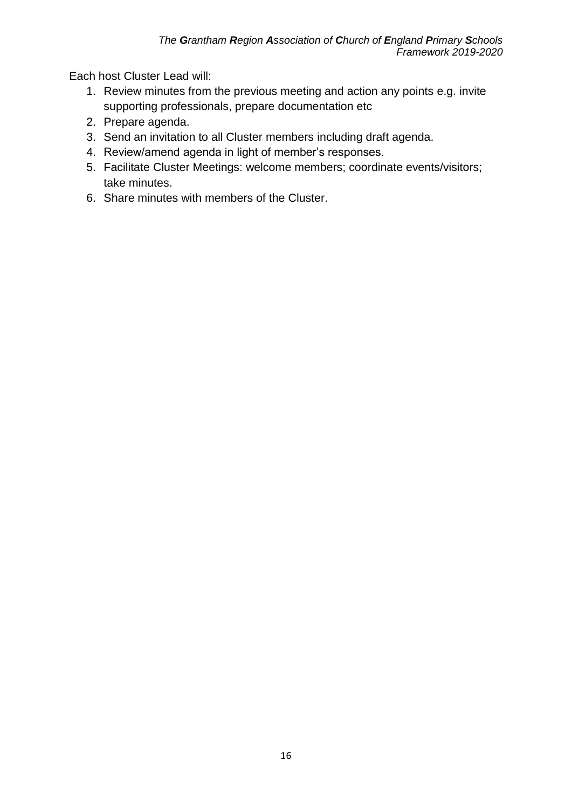Each host Cluster Lead will:

- 1. Review minutes from the previous meeting and action any points e.g. invite supporting professionals, prepare documentation etc
- 2. Prepare agenda.
- 3. Send an invitation to all Cluster members including draft agenda.
- 4. Review/amend agenda in light of member's responses.
- 5. Facilitate Cluster Meetings: welcome members; coordinate events/visitors; take minutes.
- 6. Share minutes with members of the Cluster.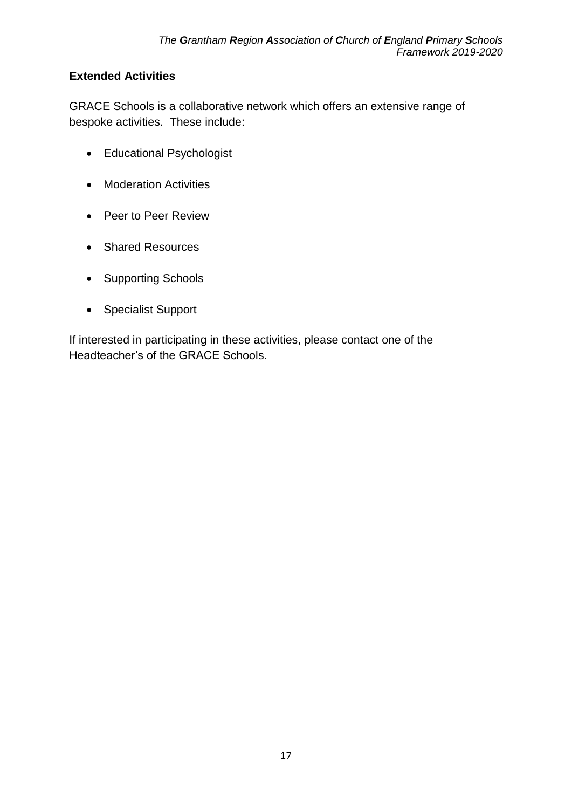## <span id="page-16-0"></span>**Extended Activities**

GRACE Schools is a collaborative network which offers an extensive range of bespoke activities. These include:

- Educational Psychologist
- Moderation Activities
- Peer to Peer Review
- Shared Resources
- Supporting Schools
- Specialist Support

If interested in participating in these activities, please contact one of the Headteacher's of the GRACE Schools.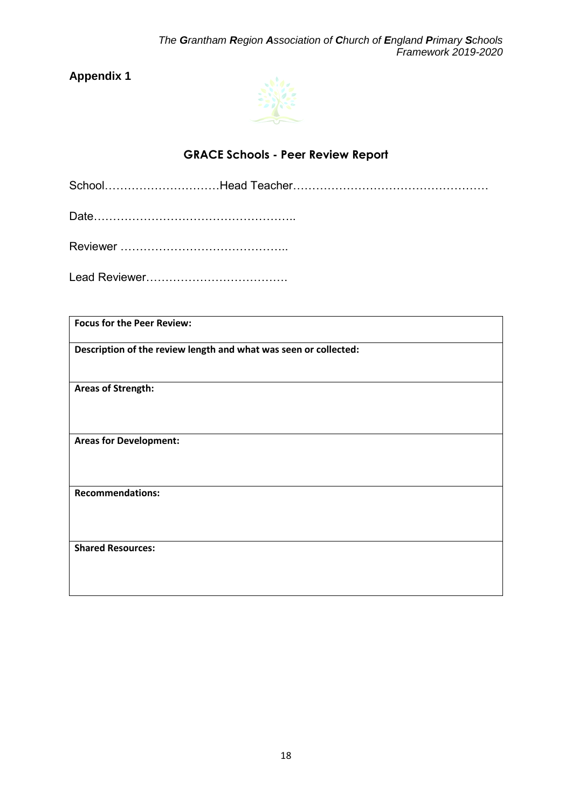

# **GRACE Schools - Peer Review Report**

<span id="page-17-1"></span><span id="page-17-0"></span>School…………………………Head Teacher……………………………………………

Date……………………………………………..

Reviewer ……………………………………..

Lead Reviewer……………………………….

| <b>Focus for the Peer Review:</b>                                |  |  |  |
|------------------------------------------------------------------|--|--|--|
| Description of the review length and what was seen or collected: |  |  |  |
| <b>Areas of Strength:</b>                                        |  |  |  |
| <b>Areas for Development:</b>                                    |  |  |  |
| <b>Recommendations:</b>                                          |  |  |  |
|                                                                  |  |  |  |
| <b>Shared Resources:</b>                                         |  |  |  |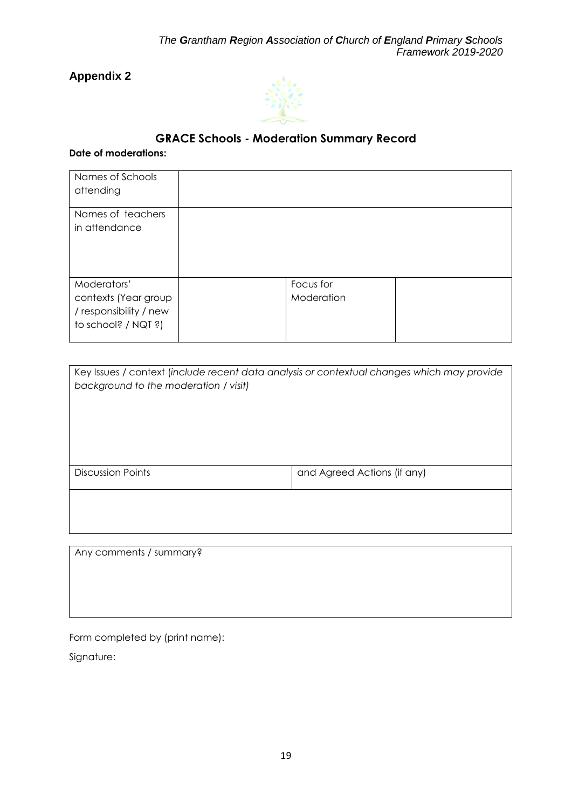

# **GRACE Schools - Moderation Summary Record**

#### <span id="page-18-1"></span><span id="page-18-0"></span>**Date of moderations:**

| Names of Schools<br>attending                                                        |                         |  |
|--------------------------------------------------------------------------------------|-------------------------|--|
| Names of teachers<br>in attendance                                                   |                         |  |
| Moderators'<br>contexts (Year group<br>/ responsibility / new<br>to school? / NQT ?) | Focus for<br>Moderation |  |

| Key Issues / context (include recent data analysis or contextual changes which may provide<br>background to the moderation / visit) |                             |
|-------------------------------------------------------------------------------------------------------------------------------------|-----------------------------|
| <b>Discussion Points</b>                                                                                                            | and Agreed Actions (if any) |
|                                                                                                                                     |                             |

Any comments / summary?

Form completed by (print name):

Signature: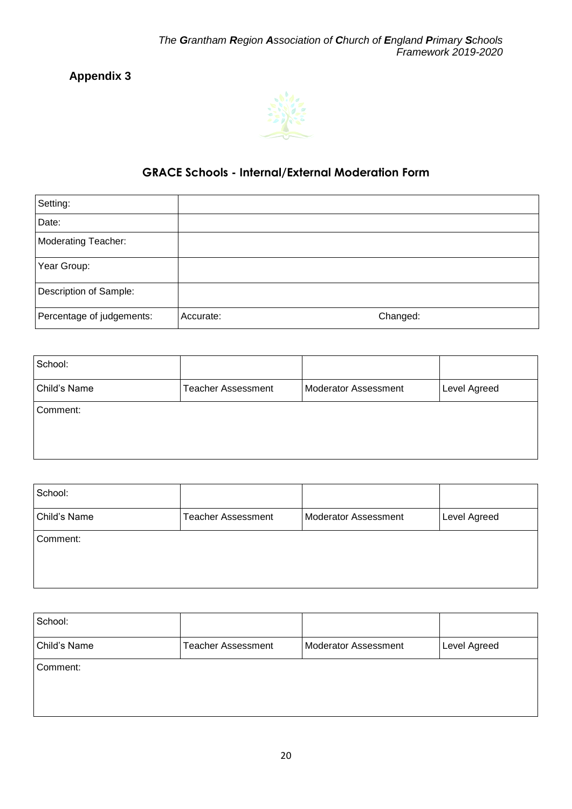

## <span id="page-19-0"></span>**GRACE Schools - Internal/External Moderation Form**

<span id="page-19-1"></span>

| Setting:                   |           |          |
|----------------------------|-----------|----------|
| Date:                      |           |          |
| <b>Moderating Teacher:</b> |           |          |
| Year Group:                |           |          |
| Description of Sample:     |           |          |
| Percentage of judgements:  | Accurate: | Changed: |

| School:      |                           |                      |              |
|--------------|---------------------------|----------------------|--------------|
| Child's Name | <b>Teacher Assessment</b> | Moderator Assessment | Level Agreed |
| Comment:     |                           |                      |              |

| School:      |                           |                      |              |
|--------------|---------------------------|----------------------|--------------|
| Child's Name | <b>Teacher Assessment</b> | Moderator Assessment | Level Agreed |
| Comment:     |                           |                      |              |
|              |                           |                      |              |

| School:      |                           |                      |              |
|--------------|---------------------------|----------------------|--------------|
| Child's Name | <b>Teacher Assessment</b> | Moderator Assessment | Level Agreed |
| Comment:     |                           |                      |              |
|              |                           |                      |              |
|              |                           |                      |              |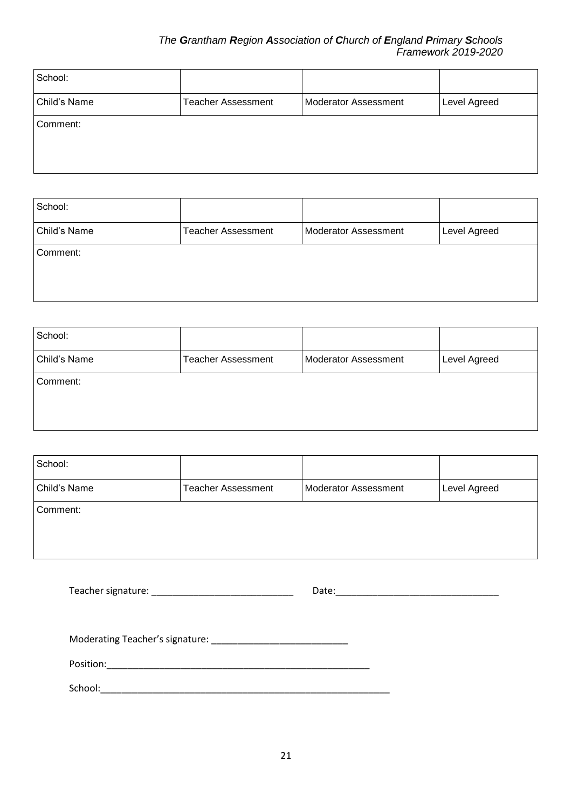#### *The Grantham Region Association of Church of England Primary Schools Framework 2019-2020*

| School:      |                           |                      |              |
|--------------|---------------------------|----------------------|--------------|
| Child's Name | <b>Teacher Assessment</b> | Moderator Assessment | Level Agreed |
| Comment:     |                           |                      |              |
|              |                           |                      |              |
|              |                           |                      |              |

| School:      |                           |                      |              |
|--------------|---------------------------|----------------------|--------------|
| Child's Name | <b>Teacher Assessment</b> | Moderator Assessment | Level Agreed |
| Comment:     |                           |                      |              |
|              |                           |                      |              |
|              |                           |                      |              |

| School:      |                           |                      |              |
|--------------|---------------------------|----------------------|--------------|
| Child's Name | <b>Teacher Assessment</b> | Moderator Assessment | Level Agreed |
| Comment:     |                           |                      |              |
|              |                           |                      |              |
|              |                           |                      |              |

| School:      |                           |                      |              |
|--------------|---------------------------|----------------------|--------------|
| Child's Name | <b>Teacher Assessment</b> | Moderator Assessment | Level Agreed |
| Comment:     |                           |                      |              |

|  | Teacher signature: |  | Date: |
|--|--------------------|--|-------|
|--|--------------------|--|-------|

Moderating Teacher's signature: \_\_\_\_\_\_\_\_\_\_\_\_\_\_\_\_\_\_\_\_\_\_\_\_\_\_

Position:\_\_\_\_\_\_\_\_\_\_\_\_\_\_\_\_\_\_\_\_\_\_\_\_\_\_\_\_\_\_\_\_\_\_\_\_\_\_\_\_\_\_\_\_\_\_\_\_\_\_

School:\_\_\_\_\_\_\_\_\_\_\_\_\_\_\_\_\_\_\_\_\_\_\_\_\_\_\_\_\_\_\_\_\_\_\_\_\_\_\_\_\_\_\_\_\_\_\_\_\_\_\_\_\_\_\_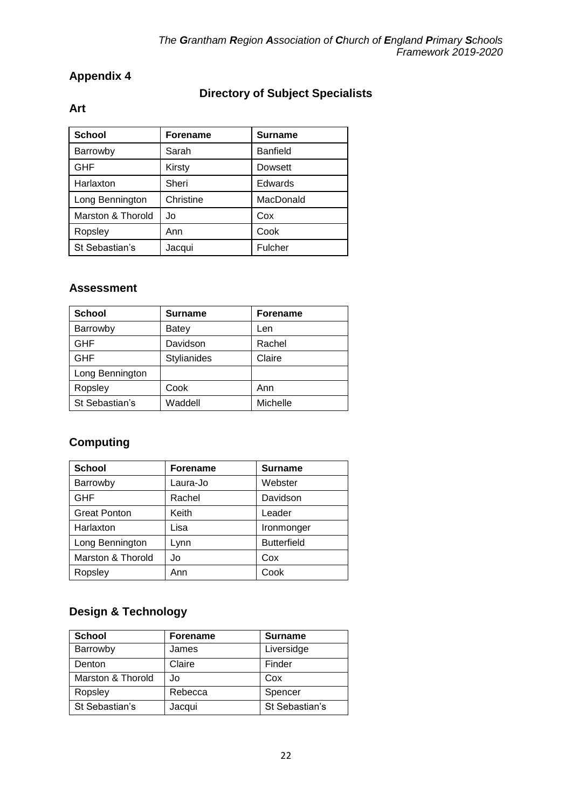# **Directory of Subject Specialists**

## <span id="page-21-1"></span><span id="page-21-0"></span>**Art**

| <b>School</b>     | <b>Forename</b> | <b>Surname</b>  |
|-------------------|-----------------|-----------------|
| Barrowby          | Sarah           | <b>Banfield</b> |
| <b>GHF</b>        | Kirsty          | Dowsett         |
| Harlaxton         | Sheri           | Edwards         |
| Long Bennington   | Christine       | MacDonald       |
| Marston & Thorold | Jo              | Cox             |
| Ropsley           | Ann             | Cook            |
| St Sebastian's    | Jacqui          | Fulcher         |

#### **Assessment**

| <b>School</b>   | <b>Surname</b> | <b>Forename</b> |
|-----------------|----------------|-----------------|
| Barrowby        | Batey          | Len             |
| <b>GHF</b>      | Davidson       | Rachel          |
| <b>GHF</b>      | Stylianides    | Claire          |
| Long Bennington |                |                 |
| Ropsley         | Cook           | Ann             |
| St Sebastian's  | Waddell        | Michelle        |

# **Computing**

| <b>School</b>       | <b>Forename</b> | <b>Surname</b>     |
|---------------------|-----------------|--------------------|
| Barrowby            | Laura-Jo        | Webster            |
| <b>GHF</b>          | Rachel          | Davidson           |
| <b>Great Ponton</b> | Keith           | Leader             |
| Harlaxton           | Lisa            | Ironmonger         |
| Long Bennington     | Lynn            | <b>Butterfield</b> |
| Marston & Thorold   | Jo              | Cox                |
| Ropsley             | Ann             | Cook               |

# **Design & Technology**

| <b>School</b>     | <b>Forename</b> | <b>Surname</b> |
|-------------------|-----------------|----------------|
| Barrowby          | James           | Liversidge     |
| Denton            | Claire          | Finder         |
| Marston & Thorold | Jo.             | Cox            |
| Ropsley           | Rebecca         | Spencer        |
| St Sebastian's    | Jacqui          | St Sebastian's |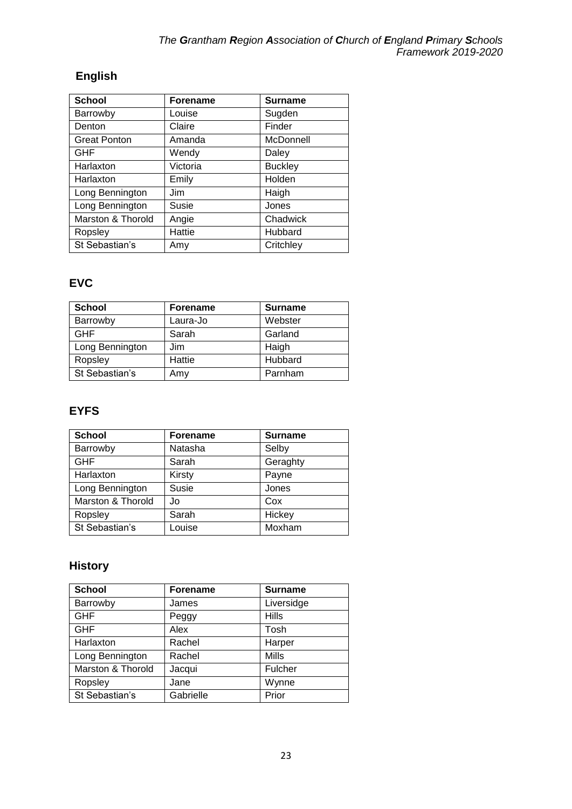# **English**

| <b>School</b>       | <b>Forename</b> | <b>Surname</b> |
|---------------------|-----------------|----------------|
| Barrowby            | Louise          | Sugden         |
| Denton              | Claire          | Finder         |
| <b>Great Ponton</b> | Amanda          | McDonnell      |
| <b>GHF</b>          | Wendy           | Daley          |
| Harlaxton           | Victoria        | <b>Buckley</b> |
| Harlaxton           | Emily           | Holden         |
| Long Bennington     | Jim             | Haigh          |
| Long Bennington     | Susie           | Jones          |
| Marston & Thorold   | Angie           | Chadwick       |
| Ropsley             | Hattie          | Hubbard        |
| St Sebastian's      | Amy             | Critchley      |

# **EVC**

| <b>School</b>   | <b>Forename</b> | <b>Surname</b> |
|-----------------|-----------------|----------------|
| Barrowby        | Laura-Jo        | Webster        |
| <b>GHF</b>      | Sarah           | Garland        |
| Long Bennington | Jim             | Haigh          |
| Ropsley         | Hattie          | Hubbard        |
| St Sebastian's  | Amy             | Parnham        |

## **EYFS**

| <b>School</b>     | <b>Forename</b> | <b>Surname</b> |
|-------------------|-----------------|----------------|
| Barrowby          | Natasha         | Selby          |
| <b>GHF</b>        | Sarah           | Geraghty       |
| Harlaxton         | Kirsty          | Payne          |
| Long Bennington   | Susie           | Jones          |
| Marston & Thorold | Jo              | Cox            |
| Ropsley           | Sarah           | Hickey         |
| St Sebastian's    | Louise          | Moxham         |

# **History**

| <b>School</b>     | <b>Forename</b> | <b>Surname</b> |
|-------------------|-----------------|----------------|
| Barrowby          | James           | Liversidge     |
| <b>GHF</b>        | Peggy           | <b>Hills</b>   |
| <b>GHF</b>        | Alex            | Tosh           |
| Harlaxton         | Rachel          | Harper         |
| Long Bennington   | Rachel          | Mills          |
| Marston & Thorold | Jacqui          | Fulcher        |
| Ropsley           | Jane            | Wynne          |
| St Sebastian's    | Gabrielle       | Prior          |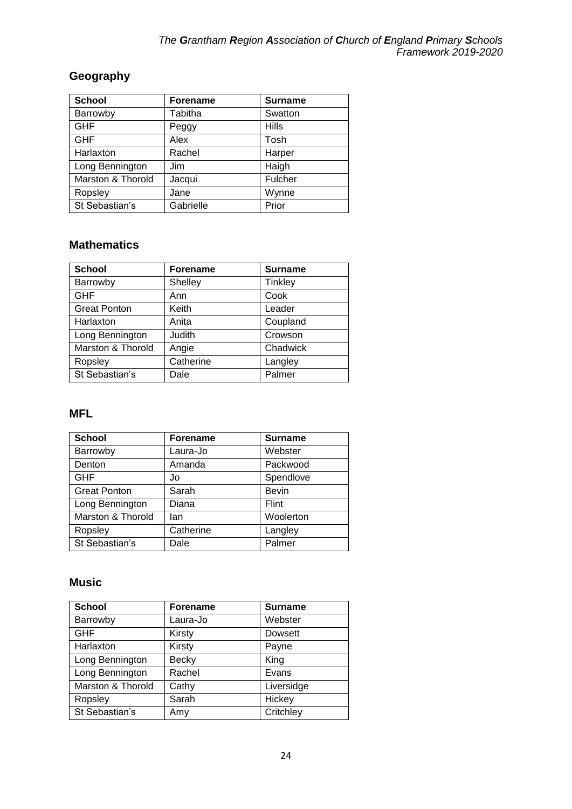# **Geography**

| <b>School</b>     | <b>Forename</b> | <b>Surname</b> |
|-------------------|-----------------|----------------|
| Barrowby          | Tabitha         | Swatton        |
| <b>GHF</b>        | Peggy           | <b>Hills</b>   |
| <b>GHF</b>        | Alex            | Tosh           |
| Harlaxton         | Rachel          | Harper         |
| Long Bennington   | Jim             | Haigh          |
| Marston & Thorold | Jacqui          | Fulcher        |
| Ropsley           | Jane            | Wynne          |
| St Sebastian's    | Gabrielle       | Prior          |

#### **Mathematics**

| <b>School</b>       | <b>Forename</b> | <b>Surname</b> |
|---------------------|-----------------|----------------|
| Barrowby            | Shelley         | Tinkley        |
| <b>GHF</b>          | Ann             | Cook           |
| <b>Great Ponton</b> | Keith           | Leader         |
| Harlaxton           | Anita           | Coupland       |
| Long Bennington     | Judith          | Crowson        |
| Marston & Thorold   | Angie           | Chadwick       |
| Ropsley             | Catherine       | Langley        |
| St Sebastian's      | Dale            | Palmer         |

#### **MFL**

| <b>School</b>       | <b>Forename</b> | <b>Surname</b> |
|---------------------|-----------------|----------------|
| Barrowby            | Laura-Jo        | Webster        |
| Denton              | Amanda          | Packwood       |
| <b>GHF</b>          | Jo              | Spendlove      |
| <b>Great Ponton</b> | Sarah           | <b>Bevin</b>   |
| Long Bennington     | Diana           | Flint          |
| Marston & Thorold   | lan             | Woolerton      |
| Ropsley             | Catherine       | Langley        |
| St Sebastian's      | Dale            | Palmer         |

#### **Music**

| <b>School</b>     | <b>Forename</b> | <b>Surname</b> |
|-------------------|-----------------|----------------|
| Barrowby          | Laura-Jo        | Webster        |
| <b>GHF</b>        | Kirsty          | Dowsett        |
| Harlaxton         | Kirsty          | Payne          |
| Long Bennington   | <b>Becky</b>    | King           |
| Long Bennington   | Rachel          | Evans          |
| Marston & Thorold | Cathy           | Liversidge     |
| Ropsley           | Sarah           | Hickey         |
| St Sebastian's    | Amy             | Critchley      |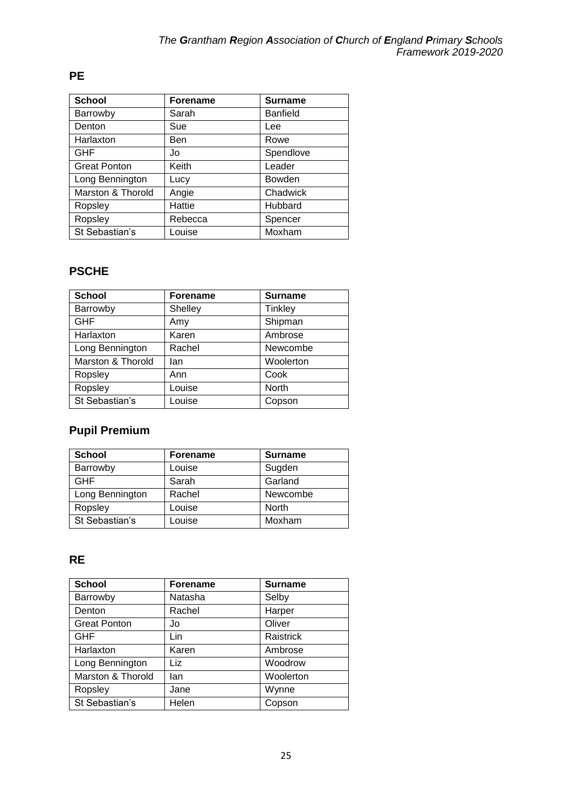# **PE**

| <b>School</b>       | <b>Forename</b> | <b>Surname</b>  |
|---------------------|-----------------|-----------------|
| Barrowby            | Sarah           | <b>Banfield</b> |
| Denton              | Sue             | Lee             |
| Harlaxton           | Ben             | Rowe            |
| <b>GHF</b>          | Jo              | Spendlove       |
| <b>Great Ponton</b> | Keith           | Leader          |
| Long Bennington     | Lucy            | <b>Bowden</b>   |
| Marston & Thorold   | Angie           | Chadwick        |
| Ropsley             | Hattie          | Hubbard         |
| Ropsley             | Rebecca         | Spencer         |
| St Sebastian's      | Louise          | Moxham          |

#### **PSCHE**

| <b>School</b>     | <b>Forename</b> | <b>Surname</b> |
|-------------------|-----------------|----------------|
| Barrowby          | Shelley         | Tinkley        |
| <b>GHF</b>        | Amy             | Shipman        |
| Harlaxton         | Karen           | Ambrose        |
| Long Bennington   | Rachel          | Newcombe       |
| Marston & Thorold | lan             | Woolerton      |
| Ropsley           | Ann             | Cook           |
| Ropsley           | Louise          | <b>North</b>   |
| St Sebastian's    | Louise          | Copson         |

# **Pupil Premium**

| <b>School</b>   | <b>Forename</b> | <b>Surname</b> |
|-----------------|-----------------|----------------|
| Barrowby        | Louise          | Sugden         |
| <b>GHF</b>      | Sarah           | Garland        |
| Long Bennington | Rachel          | Newcombe       |
| Ropsley         | Louise          | North          |
| St Sebastian's  | _ouise          | Moxham         |

## **RE**

| <b>School</b>       | <b>Forename</b> | <b>Surname</b> |
|---------------------|-----------------|----------------|
| Barrowby            | Natasha         | Selby          |
| Denton              | Rachel          | Harper         |
| <b>Great Ponton</b> | Jo              | Oliver         |
| <b>GHF</b>          | Lin             | Raistrick      |
| Harlaxton           | Karen           | Ambrose        |
| Long Bennington     | Liz             | Woodrow        |
| Marston & Thorold   | lan             | Woolerton      |
| Ropsley             | Jane            | Wynne          |
| St Sebastian's      | Helen           | Copson         |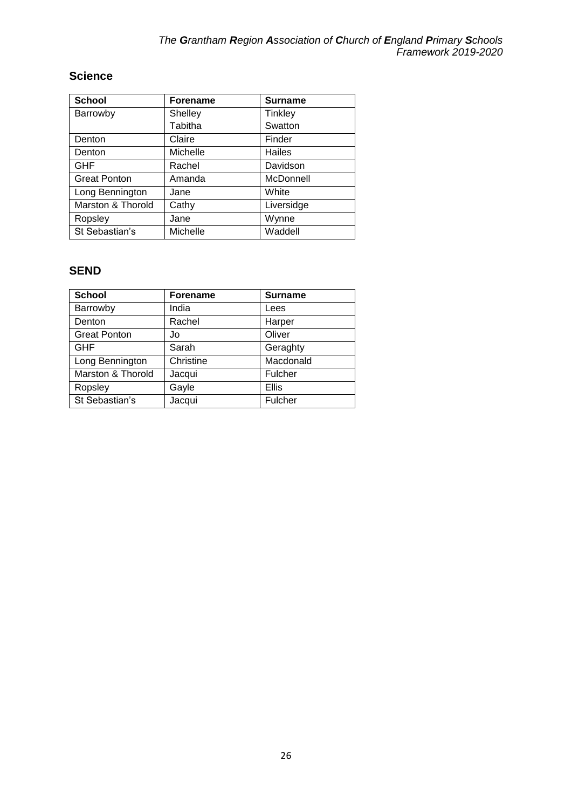## **Science**

| <b>School</b>       | <b>Forename</b> | <b>Surname</b> |
|---------------------|-----------------|----------------|
| Barrowby            | Shelley         | Tinkley        |
|                     | Tabitha         | Swatton        |
| Denton              | Claire          | Finder         |
| Denton              | Michelle        | Hailes         |
| <b>GHF</b>          | Rachel          | Davidson       |
| <b>Great Ponton</b> | Amanda          | McDonnell      |
| Long Bennington     | Jane            | White          |
| Marston & Thorold   | Cathy           | Liversidge     |
| Ropsley             | Jane            | Wynne          |
| St Sebastian's      | Michelle        | Waddell        |

## **SEND**

| <b>School</b>       | <b>Forename</b> | <b>Surname</b> |
|---------------------|-----------------|----------------|
| Barrowby            | India           | Lees           |
| Denton              | Rachel          | Harper         |
| <b>Great Ponton</b> | Jo              | Oliver         |
| <b>GHF</b>          | Sarah           | Geraghty       |
| Long Bennington     | Christine       | Macdonald      |
| Marston & Thorold   | Jacqui          | Fulcher        |
| Ropsley             | Gayle           | Ellis          |
| St Sebastian's      | Jacqui          | Fulcher        |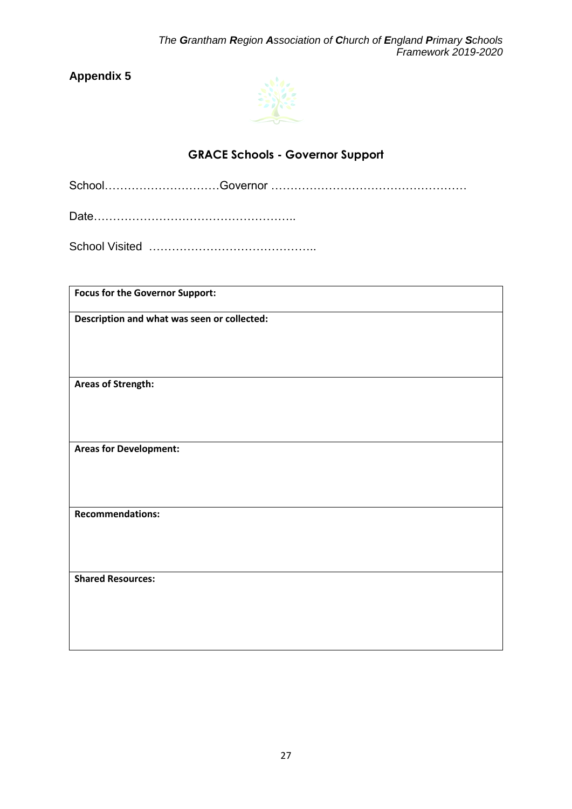

# **GRACE Schools - Governor Support**

<span id="page-26-1"></span><span id="page-26-0"></span>School…………………………Governor ……………………………………………

Date……………………………………………..

School Visited ……………………………………..

| <b>Focus for the Governor Support:</b>      |
|---------------------------------------------|
| Description and what was seen or collected: |
| <b>Areas of Strength:</b>                   |
| <b>Areas for Development:</b>               |
| <b>Recommendations:</b>                     |
| <b>Shared Resources:</b>                    |